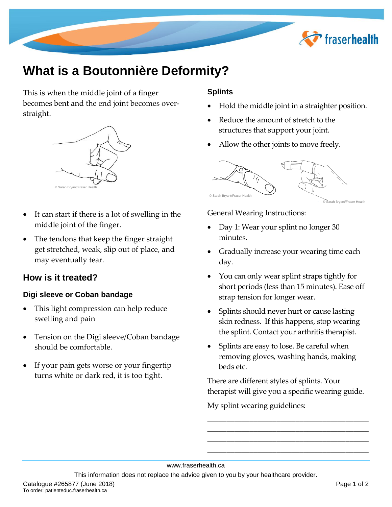

# **What is a Boutonnière Deformity?**

This is when the middle joint of a finger becomes bent and the end joint becomes overstraight.



- It can start if there is a lot of swelling in the middle joint of the finger.
- The tendons that keep the finger straight get stretched, weak, slip out of place, and may eventually tear.

## **How is it treated?**

#### **Digi sleeve or Coban bandage**

- This light compression can help reduce swelling and pain
- Tension on the Digi sleeve/Coban bandage should be comfortable.
- If your pain gets worse or your fingertip turns white or dark red, it is too tight.

#### **Splints**

- Hold the middle joint in a straighter position.
- Reduce the amount of stretch to the structures that support your joint.
- Allow the other joints to move freely.



General Wearing Instructions:

- Day 1: Wear your splint no longer 30 minutes.
- Gradually increase your wearing time each day.
- You can only wear splint straps tightly for short periods (less than 15 minutes). Ease off strap tension for longer wear.
- Splints should never hurt or cause lasting skin redness. If this happens, stop wearing the splint. Contact your arthritis therapist.
- Splints are easy to lose. Be careful when removing gloves, washing hands, making beds etc.

There are different styles of splints. Your therapist will give you a specific wearing guide.

**\_\_\_\_\_\_\_\_\_\_\_\_\_\_\_\_\_\_\_\_\_\_\_\_\_\_\_\_\_\_\_\_\_\_\_\_\_\_\_\_\_\_ \_\_\_\_\_\_\_\_\_\_\_\_\_\_\_\_\_\_\_\_\_\_\_\_\_\_\_\_\_\_\_\_\_\_\_\_\_\_\_\_\_\_ \_\_\_\_\_\_\_\_\_\_\_\_\_\_\_\_\_\_\_\_\_\_\_\_\_\_\_\_\_\_\_\_\_\_\_\_**\_\_\_\_\_\_ \_\_\_\_\_\_\_\_\_\_\_\_\_\_\_\_\_\_\_\_\_\_\_\_\_\_\_\_\_\_\_\_\_\_\_\_\_\_\_\_\_\_

My splint wearing guidelines:

www.fraserhealth.ca

This information does not replace the advice given to you by your healthcare provider.